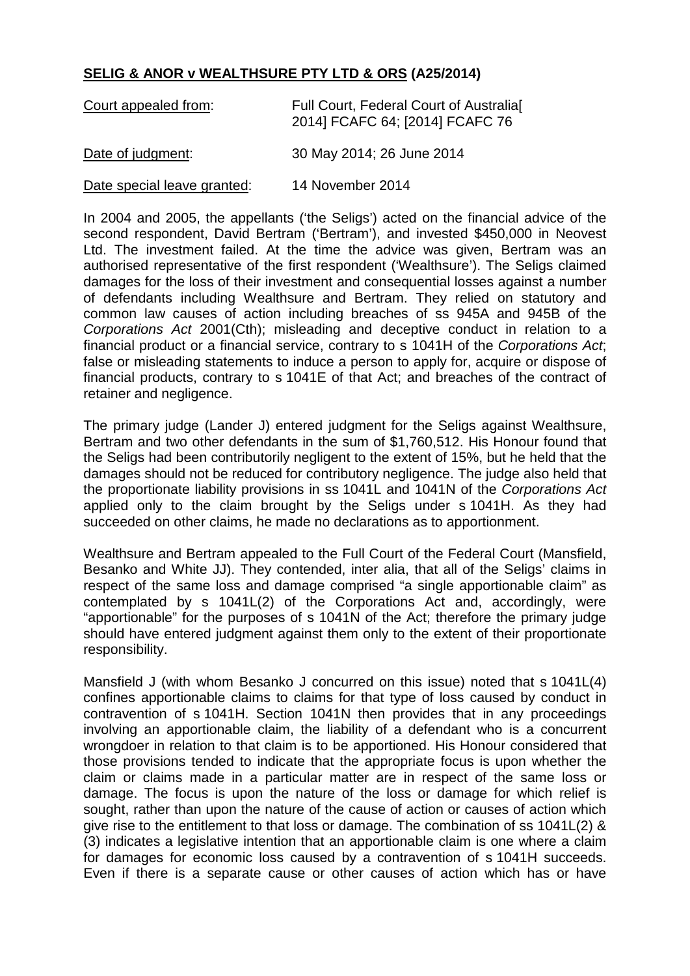## **SELIG & ANOR v WEALTHSURE PTY LTD & ORS (A25/2014)**

| Court appealed from:        | Full Court, Federal Court of Australia<br>2014] FCAFC 64; [2014] FCAFC 76 |
|-----------------------------|---------------------------------------------------------------------------|
| Date of judgment:           | 30 May 2014; 26 June 2014                                                 |
| Date special leave granted: | 14 November 2014                                                          |

In 2004 and 2005, the appellants ('the Seligs') acted on the financial advice of the second respondent, David Bertram ('Bertram'), and invested \$450,000 in Neovest Ltd. The investment failed. At the time the advice was given, Bertram was an authorised representative of the first respondent ('Wealthsure'). The Seligs claimed damages for the loss of their investment and consequential losses against a number of defendants including Wealthsure and Bertram. They relied on statutory and common law causes of action including breaches of ss 945A and 945B of the *Corporations Act* 2001(Cth); misleading and deceptive conduct in relation to a financial product or a financial service, contrary to s 1041H of the *Corporations Act*; false or misleading statements to induce a person to apply for, acquire or dispose of financial products, contrary to s 1041E of that Act; and breaches of the contract of retainer and negligence.

The primary judge (Lander J) entered judgment for the Seligs against Wealthsure, Bertram and two other defendants in the sum of \$1,760,512. His Honour found that the Seligs had been contributorily negligent to the extent of 15%, but he held that the damages should not be reduced for contributory negligence. The judge also held that the proportionate liability provisions in ss 1041L and 1041N of the *Corporations Act* applied only to the claim brought by the Seligs under s 1041H. As they had succeeded on other claims, he made no declarations as to apportionment.

Wealthsure and Bertram appealed to the Full Court of the Federal Court (Mansfield, Besanko and White JJ). They contended, inter alia, that all of the Seligs' claims in respect of the same loss and damage comprised "a single apportionable claim" as contemplated by s 1041L(2) of the Corporations Act and, accordingly, were "apportionable" for the purposes of s 1041N of the Act; therefore the primary judge should have entered judgment against them only to the extent of their proportionate responsibility.

Mansfield J (with whom Besanko J concurred on this issue) noted that s 1041L(4) confines apportionable claims to claims for that type of loss caused by conduct in contravention of s 1041H. Section 1041N then provides that in any proceedings involving an apportionable claim, the liability of a defendant who is a concurrent wrongdoer in relation to that claim is to be apportioned. His Honour considered that those provisions tended to indicate that the appropriate focus is upon whether the claim or claims made in a particular matter are in respect of the same loss or damage. The focus is upon the nature of the loss or damage for which relief is sought, rather than upon the nature of the cause of action or causes of action which give rise to the entitlement to that loss or damage. The combination of ss 1041L(2) & (3) indicates a legislative intention that an apportionable claim is one where a claim for damages for economic loss caused by a contravention of s 1041H succeeds. Even if there is a separate cause or other causes of action which has or have